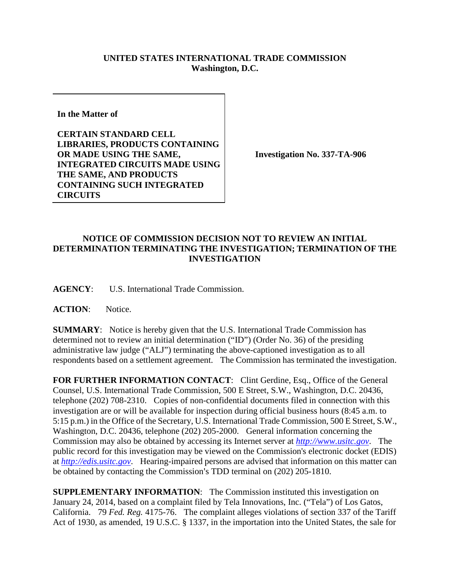## **UNITED STATES INTERNATIONAL TRADE COMMISSION Washington, D.C.**

**In the Matter of** 

**CERTAIN STANDARD CELL LIBRARIES, PRODUCTS CONTAINING OR MADE USING THE SAME, INTEGRATED CIRCUITS MADE USING THE SAME, AND PRODUCTS CONTAINING SUCH INTEGRATED CIRCUITS**

**Investigation No. 337-TA-906**

## **NOTICE OF COMMISSION DECISION NOT TO REVIEW AN INITIAL DETERMINATION TERMINATING THE INVESTIGATION; TERMINATION OF THE INVESTIGATION**

**AGENCY**: U.S. International Trade Commission.

ACTION: Notice.

**SUMMARY**: Notice is hereby given that the U.S. International Trade Commission has determined not to review an initial determination ("ID") (Order No. 36) of the presiding administrative law judge ("ALJ") terminating the above-captioned investigation as to all respondents based on a settlement agreement. The Commission has terminated the investigation.

FOR FURTHER INFORMATION CONTACT: Clint Gerdine, Esq., Office of the General Counsel, U.S. International Trade Commission, 500 E Street, S.W., Washington, D.C. 20436, telephone (202) 708-2310. Copies of non-confidential documents filed in connection with this investigation are or will be available for inspection during official business hours (8:45 a.m. to 5:15 p.m.) in the Office of the Secretary, U.S. International Trade Commission, 500 E Street, S.W., Washington, D.C. 20436, telephone (202) 205-2000. General information concerning the Commission may also be obtained by accessing its Internet server at *[http://www.usitc.gov](http://www.usitc.gov/)*. The public record for this investigation may be viewed on the Commission's electronic docket (EDIS) at *[http://edis.usitc.gov](http://edis.usitc.gov/)*. Hearing-impaired persons are advised that information on this matter can be obtained by contacting the Commission's TDD terminal on  $(202)$  205-1810.

**SUPPLEMENTARY INFORMATION:** The Commission instituted this investigation on January 24, 2014, based on a complaint filed by Tela Innovations, Inc. ("Tela") of Los Gatos, California. 79 *Fed. Reg.* 4175-76. The complaint alleges violations of section 337 of the Tariff Act of 1930, as amended, 19 U.S.C. § 1337, in the importation into the United States, the sale for